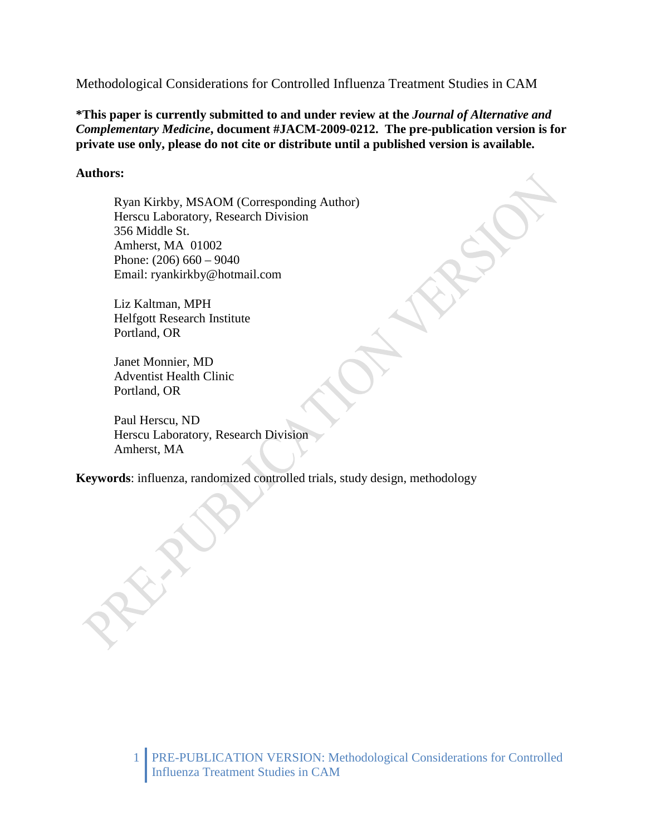Methodological Considerations for Controlled Influenza Treatment Studies in CAM

**\*This paper is currently submitted to and under review at the** *Journal of Alternative and Complementary Medicine***, document #JACM-2009-0212. The pre-publication version is for private use only, please do not cite or distribute until a published version is available.** 

# **Authors:**

Ryan Kirkby, MSAOM (Corresponding Author) Herscu Laboratory, Research Division 356 Middle St. Amherst, MA 01002 Phone: (206) 660 – 9040 Email: ryankirkby@hotmail.com

Liz Kaltman, MPH Helfgott Research Institute Portland, OR

Janet Monnier, MD Adventist Health Clinic Portland, OR

Paul Herscu, ND Herscu Laboratory, Research Division Amherst, MA

**Keywords**: influenza, randomized controlled trials, study design, methodology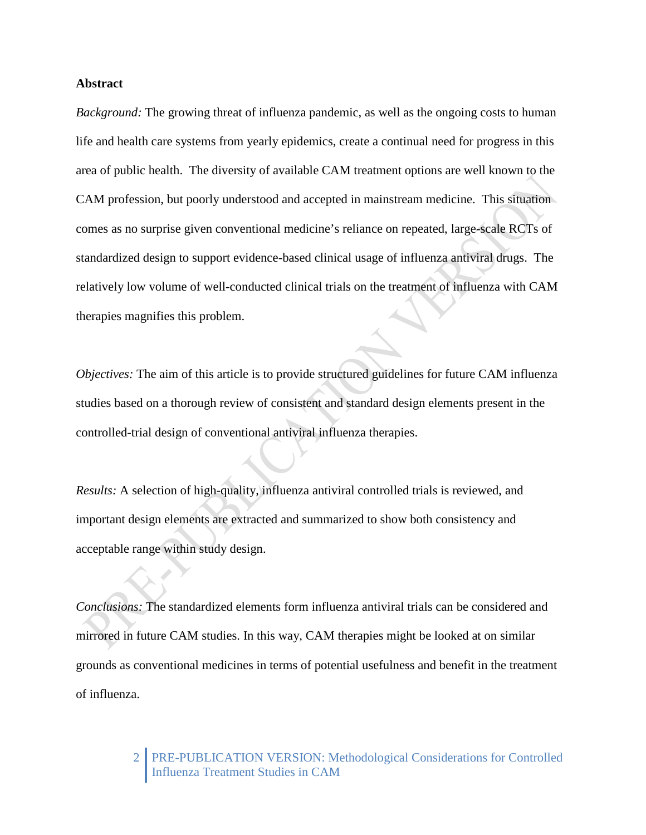## **Abstract**

*Background:* The growing threat of influenza pandemic, as well as the ongoing costs to human life and health care systems from yearly epidemics, create a continual need for progress in this area of public health. The diversity of available CAM treatment options are well known to the CAM profession, but poorly understood and accepted in mainstream medicine. This situation comes as no surprise given conventional medicine's reliance on repeated, large-scale RCTs of standardized design to support evidence-based clinical usage of influenza antiviral drugs. The relatively low volume of well-conducted clinical trials on the treatment of influenza with CAM therapies magnifies this problem.

*Objectives:* The aim of this article is to provide structured guidelines for future CAM influenza studies based on a thorough review of consistent and standard design elements present in the controlled-trial design of conventional antiviral influenza therapies.

*Results:* A selection of high-quality, influenza antiviral controlled trials is reviewed, and important design elements are extracted and summarized to show both consistency and acceptable range within study design.

*Conclusions:* The standardized elements form influenza antiviral trials can be considered and mirrored in future CAM studies. In this way, CAM therapies might be looked at on similar grounds as conventional medicines in terms of potential usefulness and benefit in the treatment of influenza.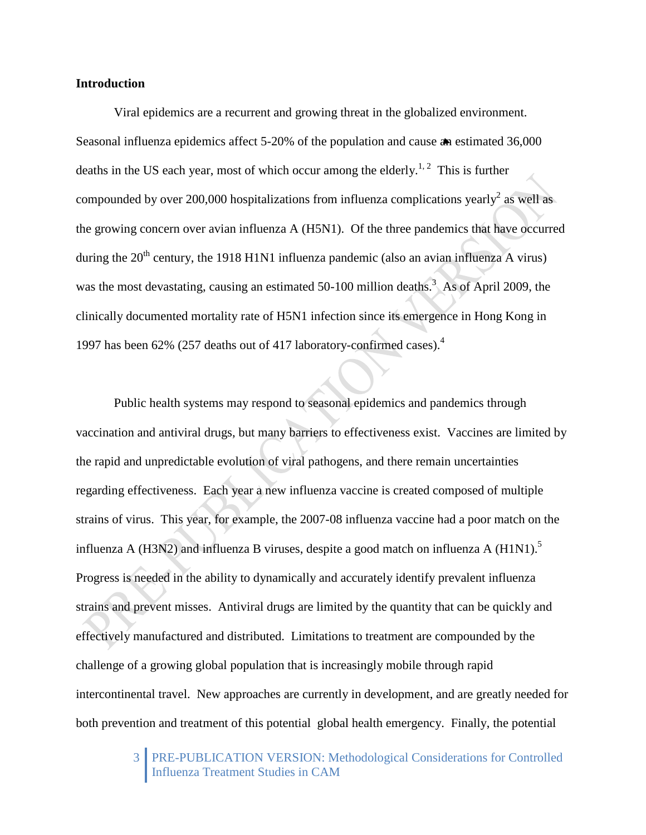## **Introduction**

Viral epidemics are a recurrent and growing threat in the globalized environment. Seasonal influenza epidemics affect 5-20% of the population and cause an estimated 36,000 deaths in the US each year, most of which occur among the elderly.<sup>1, 2</sup> This is further compounded by over 200,000 hospitalizations from influenza complications yearly<sup>2</sup> as well as the growing concern over avian influenza A (H5N1). Of the three pandemics that have occurred during the  $20<sup>th</sup>$  century, the 1918 H1N1 influenza pandemic (also an avian influenza A virus) was the most devastating, causing an estimated  $50-100$  million deaths.<sup>3</sup> As of April 2009, the clinically documented mortality rate of H5N1 infection since its emergence in Hong Kong in 1997 has been 62% (257 deaths out of 417 laboratory-confirmed cases).4

Public health systems may respond to seasonal epidemics and pandemics through vaccination and antiviral drugs, but many barriers to effectiveness exist. Vaccines are limited by the rapid and unpredictable evolution of viral pathogens, and there remain uncertainties regarding effectiveness. Each year a new influenza vaccine is created composed of multiple strains of virus. This year, for example, the 2007-08 influenza vaccine had a poor match on the influenza A (H3N2) and influenza B viruses, despite a good match on influenza A (H1N1).<sup>5</sup> Progress is needed in the ability to dynamically and accurately identify prevalent influenza strains and prevent misses. Antiviral drugs are limited by the quantity that can be quickly and effectively manufactured and distributed. Limitations to treatment are compounded by the challenge of a growing global population that is increasingly mobile through rapid intercontinental travel. New approaches are currently in development, and are greatly needed for both prevention and treatment of this potential global health emergency. Finally, the potential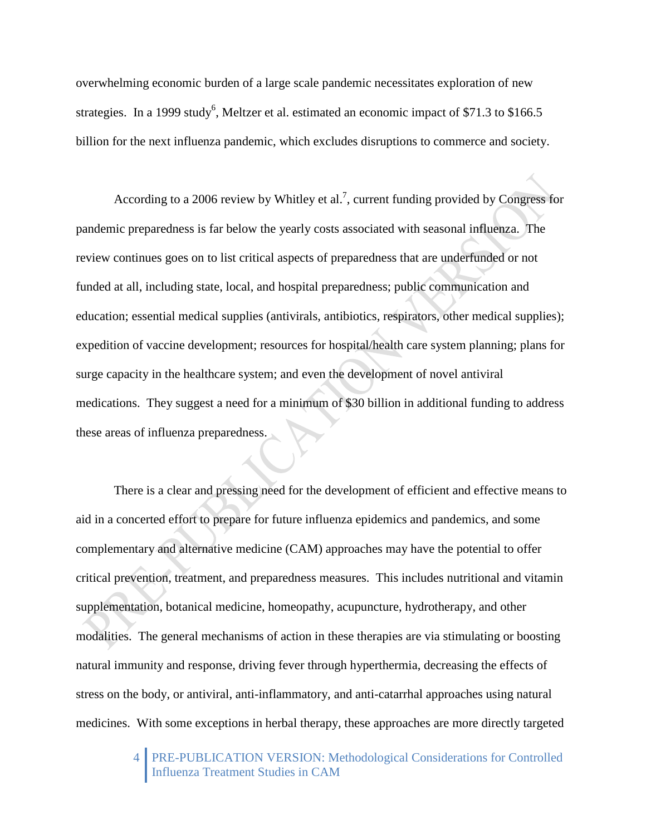overwhelming economic burden of a large scale pandemic necessitates exploration of new strategies. In a 1999 study<sup>6</sup>, Meltzer et al. estimated an economic impact of \$71.3 to \$166.5 billion for the next influenza pandemic, which excludes disruptions to commerce and society.

According to a 2006 review by Whitley et al.<sup>7</sup>, current funding provided by Congress for pandemic preparedness is far below the yearly costs associated with seasonal influenza. The review continues goes on to list critical aspects of preparedness that are underfunded or not funded at all, including state, local, and hospital preparedness; public communication and education; essential medical supplies (antivirals, antibiotics, respirators, other medical supplies); expedition of vaccine development; resources for hospital/health care system planning; plans for surge capacity in the healthcare system; and even the development of novel antiviral medications. They suggest a need for a minimum of \$30 billion in additional funding to address these areas of influenza preparedness.

There is a clear and pressing need for the development of efficient and effective means to aid in a concerted effort to prepare for future influenza epidemics and pandemics, and some complementary and alternative medicine (CAM) approaches may have the potential to offer critical prevention, treatment, and preparedness measures. This includes nutritional and vitamin supplementation, botanical medicine, homeopathy, acupuncture, hydrotherapy, and other modalities. The general mechanisms of action in these therapies are via stimulating or boosting natural immunity and response, driving fever through hyperthermia, decreasing the effects of stress on the body, or antiviral, anti-inflammatory, and anti-catarrhal approaches using natural medicines. With some exceptions in herbal therapy, these approaches are more directly targeted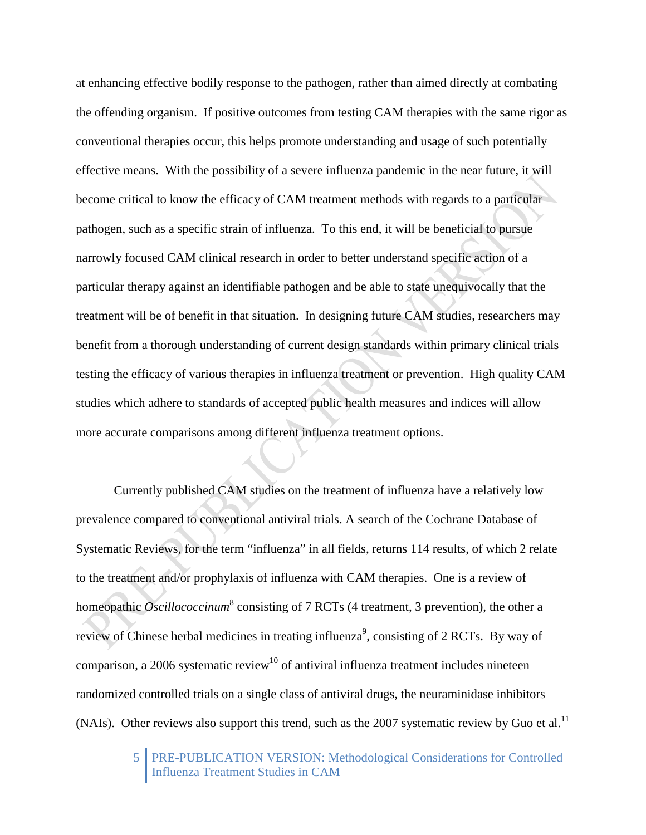at enhancing effective bodily response to the pathogen, rather than aimed directly at combating the offending organism. If positive outcomes from testing CAM therapies with the same rigor as conventional therapies occur, this helps promote understanding and usage of such potentially effective means. With the possibility of a severe influenza pandemic in the near future, it will become critical to know the efficacy of CAM treatment methods with regards to a particular pathogen, such as a specific strain of influenza. To this end, it will be beneficial to pursue narrowly focused CAM clinical research in order to better understand specific action of a particular therapy against an identifiable pathogen and be able to state unequivocally that the treatment will be of benefit in that situation. In designing future CAM studies, researchers may benefit from a thorough understanding of current design standards within primary clinical trials testing the efficacy of various therapies in influenza treatment or prevention. High quality CAM studies which adhere to standards of accepted public health measures and indices will allow more accurate comparisons among different influenza treatment options.

Currently published CAM studies on the treatment of influenza have a relatively low prevalence compared to conventional antiviral trials. A search of the Cochrane Database of Systematic Reviews, for the term "influenza" in all fields, returns 114 results, of which 2 relate to the treatment and/or prophylaxis of influenza with CAM therapies. One is a review of homeopathic *Oscillococcinum*<sup>8</sup> consisting of 7 RCTs (4 treatment, 3 prevention), the other a review of Chinese herbal medicines in treating influenza<sup>9</sup>, consisting of 2 RCTs. By way of comparison, a 2006 systematic review<sup>10</sup> of antiviral influenza treatment includes nineteen randomized controlled trials on a single class of antiviral drugs, the neuraminidase inhibitors (NAIs). Other reviews also support this trend, such as the 2007 systematic review by Guo et al.<sup>11</sup>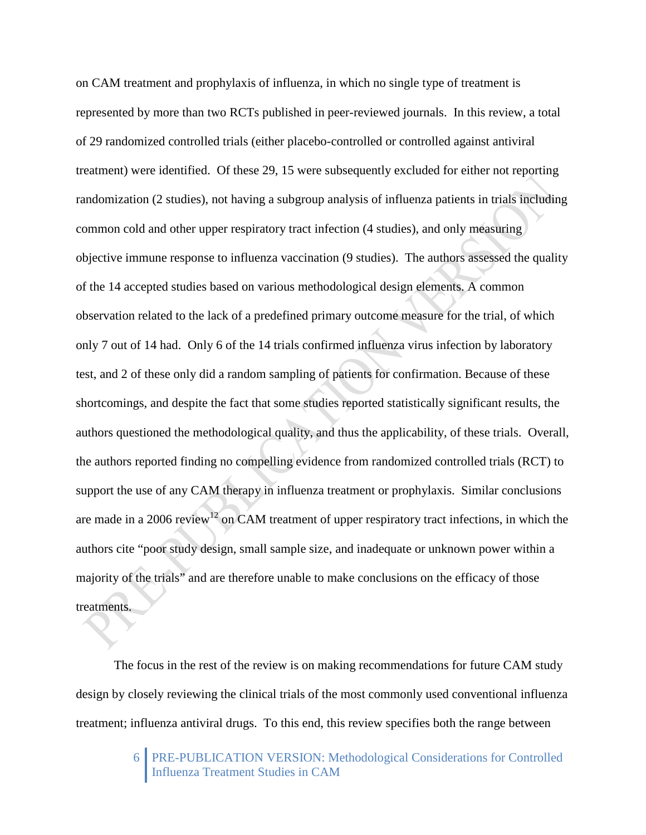on CAM treatment and prophylaxis of influenza, in which no single type of treatment is represented by more than two RCTs published in peer-reviewed journals. In this review, a total of 29 randomized controlled trials (either placebo-controlled or controlled against antiviral treatment) were identified. Of these 29, 15 were subsequently excluded for either not reporting randomization (2 studies), not having a subgroup analysis of influenza patients in trials including common cold and other upper respiratory tract infection (4 studies), and only measuring objective immune response to influenza vaccination (9 studies). The authors assessed the quality of the 14 accepted studies based on various methodological design elements. A common observation related to the lack of a predefined primary outcome measure for the trial, of which only 7 out of 14 had. Only 6 of the 14 trials confirmed influenza virus infection by laboratory test, and 2 of these only did a random sampling of patients for confirmation. Because of these shortcomings, and despite the fact that some studies reported statistically significant results, the authors questioned the methodological quality, and thus the applicability, of these trials. Overall, the authors reported finding no compelling evidence from randomized controlled trials (RCT) to support the use of any CAM therapy in influenza treatment or prophylaxis. Similar conclusions are made in a 2006 review<sup>12</sup> on CAM treatment of upper respiratory tract infections, in which the authors cite "poor study design, small sample size, and inadequate or unknown power within a majority of the trials" and are therefore unable to make conclusions on the efficacy of those treatments.

The focus in the rest of the review is on making recommendations for future CAM study design by closely reviewing the clinical trials of the most commonly used conventional influenza treatment; influenza antiviral drugs. To this end, this review specifies both the range between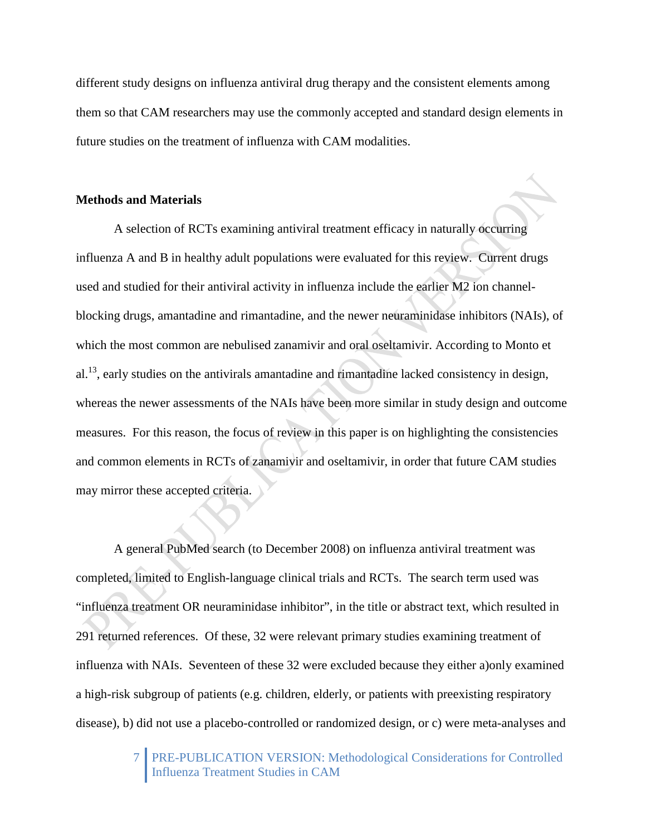different study designs on influenza antiviral drug therapy and the consistent elements among them so that CAM researchers may use the commonly accepted and standard design elements in future studies on the treatment of influenza with CAM modalities.

# **Methods and Materials**

A selection of RCTs examining antiviral treatment efficacy in naturally occurring influenza A and B in healthy adult populations were evaluated for this review. Current drugs used and studied for their antiviral activity in influenza include the earlier M2 ion channelblocking drugs, amantadine and rimantadine, and the newer neuraminidase inhibitors (NAIs), of which the most common are nebulised zanamivir and oral oseltamivir. According to Monto et  $a^{1,13}$ , early studies on the antivirals amantadine and rimantadine lacked consistency in design, whereas the newer assessments of the NAIs have been more similar in study design and outcome measures. For this reason, the focus of review in this paper is on highlighting the consistencies and common elements in RCTs of zanamivir and oseltamivir, in order that future CAM studies may mirror these accepted criteria.

A general PubMed search (to December 2008) on influenza antiviral treatment was completed, limited to English-language clinical trials and RCTs. The search term used was "influenza treatment OR neuraminidase inhibitor", in the title or abstract text, which resulted in 291 returned references. Of these, 32 were relevant primary studies examining treatment of influenza with NAIs. Seventeen of these 32 were excluded because they either a)only examined a high-risk subgroup of patients (e.g. children, elderly, or patients with preexisting respiratory disease), b) did not use a placebo-controlled or randomized design, or c) were meta-analyses and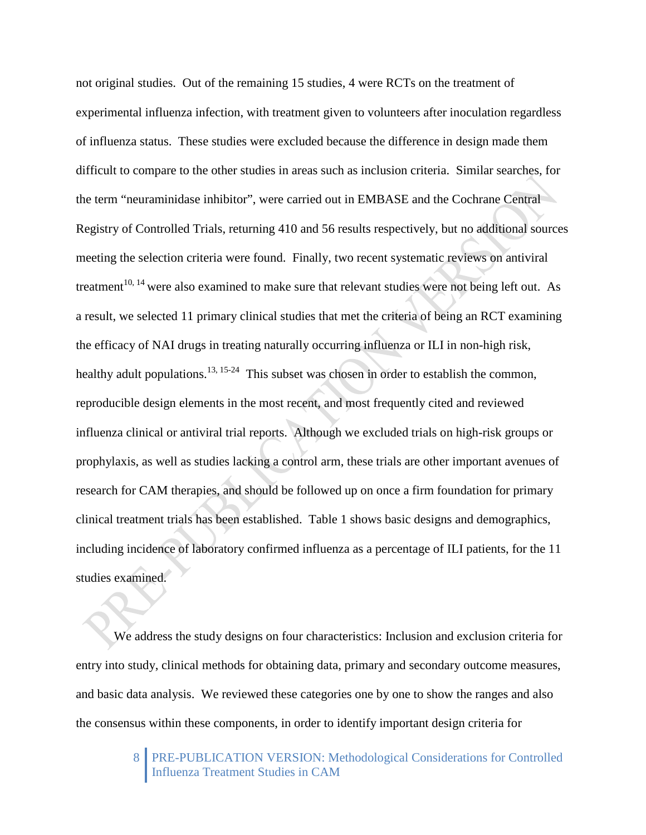not original studies. Out of the remaining 15 studies, 4 were RCTs on the treatment of experimental influenza infection, with treatment given to volunteers after inoculation regardless of influenza status. These studies were excluded because the difference in design made them difficult to compare to the other studies in areas such as inclusion criteria. Similar searches, for the term "neuraminidase inhibitor", were carried out in EMBASE and the Cochrane Central Registry of Controlled Trials, returning 410 and 56 results respectively, but no additional sources meeting the selection criteria were found. Finally, two recent systematic reviews on antiviral treatment<sup>10, 14</sup> were also examined to make sure that relevant studies were not being left out. As a result, we selected 11 primary clinical studies that met the criteria of being an RCT examining the efficacy of NAI drugs in treating naturally occurring influenza or ILI in non-high risk, healthy adult populations.<sup>13, 15-24</sup> This subset was chosen in order to establish the common, reproducible design elements in the most recent, and most frequently cited and reviewed influenza clinical or antiviral trial reports. Although we excluded trials on high-risk groups or prophylaxis, as well as studies lacking a control arm, these trials are other important avenues of research for CAM therapies, and should be followed up on once a firm foundation for primary clinical treatment trials has been established. Table 1 shows basic designs and demographics, including incidence of laboratory confirmed influenza as a percentage of ILI patients, for the 11 studies examined.

We address the study designs on four characteristics: Inclusion and exclusion criteria for entry into study, clinical methods for obtaining data, primary and secondary outcome measures, and basic data analysis. We reviewed these categories one by one to show the ranges and also the consensus within these components, in order to identify important design criteria for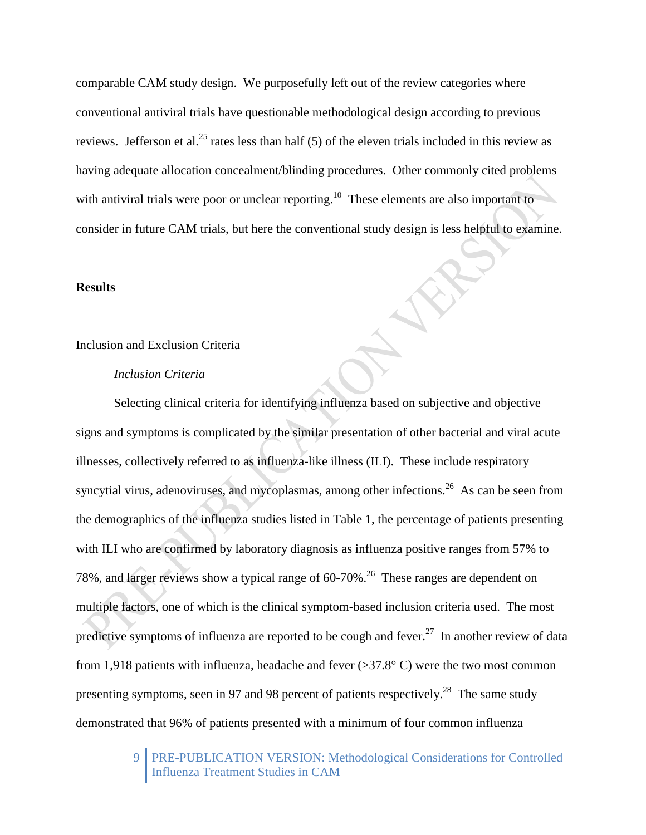comparable CAM study design. We purposefully left out of the review categories where conventional antiviral trials have questionable methodological design according to previous reviews. Jefferson et al.<sup>25</sup> rates less than half (5) of the eleven trials included in this review as having adequate allocation concealment/blinding procedures. Other commonly cited problems with antiviral trials were poor or unclear reporting.<sup>10</sup> These elements are also important to consider in future CAM trials, but here the conventional study design is less helpful to examine.

## **Results**

## Inclusion and Exclusion Criteria

#### *Inclusion Criteria*

Selecting clinical criteria for identifying influenza based on subjective and objective signs and symptoms is complicated by the similar presentation of other bacterial and viral acute illnesses, collectively referred to as influenza-like illness (ILI). These include respiratory syncytial virus, adenoviruses, and mycoplasmas, among other infections.<sup>26</sup> As can be seen from the demographics of the influenza studies listed in Table 1, the percentage of patients presenting with ILI who are confirmed by laboratory diagnosis as influenza positive ranges from 57% to 78%, and larger reviews show a typical range of 60-70%.<sup>26</sup> These ranges are dependent on multiple factors, one of which is the clinical symptom-based inclusion criteria used. The most predictive symptoms of influenza are reported to be cough and fever.<sup>27</sup> In another review of data from 1,918 patients with influenza, headache and fever  $(>37.8^{\circ} \text{ C})$  were the two most common presenting symptoms, seen in 97 and 98 percent of patients respectively.<sup>28</sup> The same study demonstrated that 96% of patients presented with a minimum of four common influenza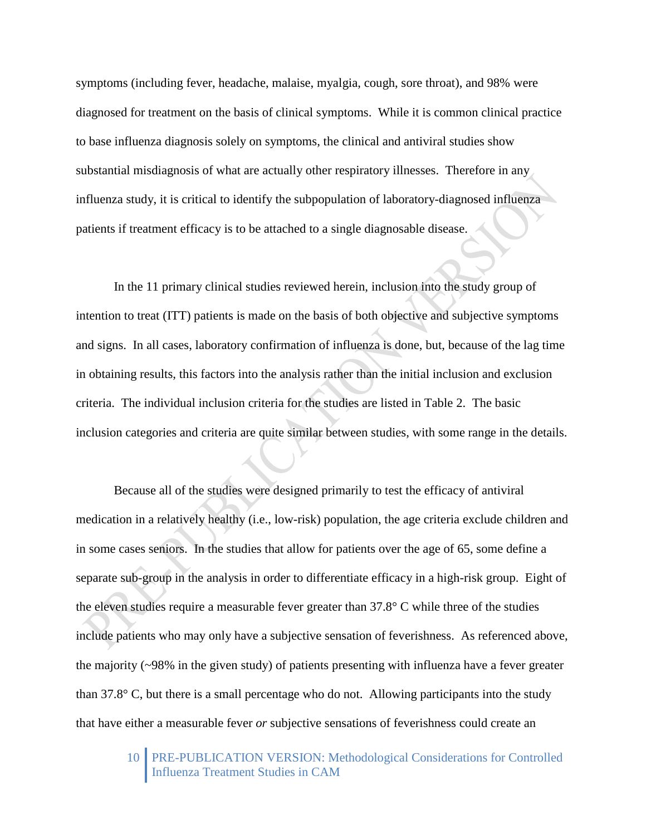symptoms (including fever, headache, malaise, myalgia, cough, sore throat), and 98% were diagnosed for treatment on the basis of clinical symptoms. While it is common clinical practice to base influenza diagnosis solely on symptoms, the clinical and antiviral studies show substantial misdiagnosis of what are actually other respiratory illnesses. Therefore in any influenza study, it is critical to identify the subpopulation of laboratory-diagnosed influenza patients if treatment efficacy is to be attached to a single diagnosable disease.

In the 11 primary clinical studies reviewed herein, inclusion into the study group of intention to treat (ITT) patients is made on the basis of both objective and subjective symptoms and signs. In all cases, laboratory confirmation of influenza is done, but, because of the lag time in obtaining results, this factors into the analysis rather than the initial inclusion and exclusion criteria. The individual inclusion criteria for the studies are listed in Table 2. The basic inclusion categories and criteria are quite similar between studies, with some range in the details.

Because all of the studies were designed primarily to test the efficacy of antiviral medication in a relatively healthy (i.e., low-risk) population, the age criteria exclude children and in some cases seniors. In the studies that allow for patients over the age of 65, some define a separate sub-group in the analysis in order to differentiate efficacy in a high-risk group. Eight of the eleven studies require a measurable fever greater than 37.8° C while three of the studies include patients who may only have a subjective sensation of feverishness. As referenced above, the majority (~98% in the given study) of patients presenting with influenza have a fever greater than 37.8° C, but there is a small percentage who do not. Allowing participants into the study that have either a measurable fever *or* subjective sensations of feverishness could create an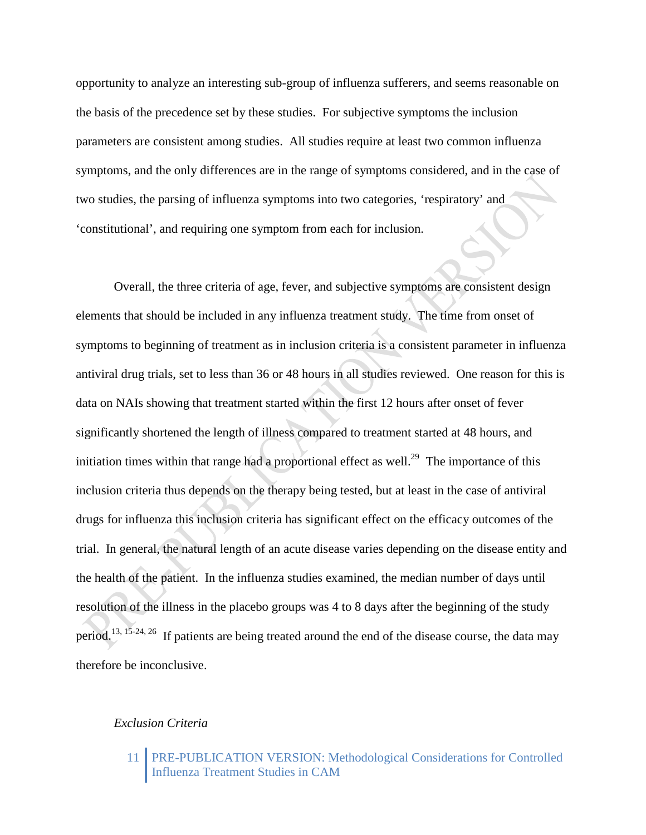opportunity to analyze an interesting sub-group of influenza sufferers, and seems reasonable on the basis of the precedence set by these studies. For subjective symptoms the inclusion parameters are consistent among studies. All studies require at least two common influenza symptoms, and the only differences are in the range of symptoms considered, and in the case of two studies, the parsing of influenza symptoms into two categories, 'respiratory' and 'constitutional', and requiring one symptom from each for inclusion.

Overall, the three criteria of age, fever, and subjective symptoms are consistent design elements that should be included in any influenza treatment study. The time from onset of symptoms to beginning of treatment as in inclusion criteria is a consistent parameter in influenza antiviral drug trials, set to less than 36 or 48 hours in all studies reviewed. One reason for this is data on NAIs showing that treatment started within the first 12 hours after onset of fever significantly shortened the length of illness compared to treatment started at 48 hours, and initiation times within that range had a proportional effect as well.<sup>29</sup> The importance of this inclusion criteria thus depends on the therapy being tested, but at least in the case of antiviral drugs for influenza this inclusion criteria has significant effect on the efficacy outcomes of the trial. In general, the natural length of an acute disease varies depending on the disease entity and the health of the patient. In the influenza studies examined, the median number of days until resolution of the illness in the placebo groups was 4 to 8 days after the beginning of the study period.13, 15-24, 26 If patients are being treated around the end of the disease course, the data may therefore be inconclusive.

## *Exclusion Criteria*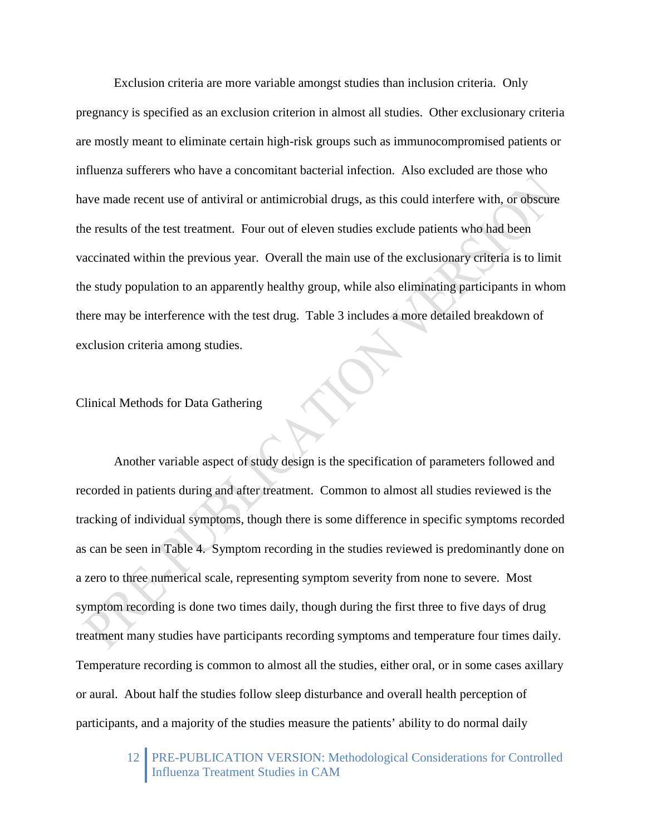Exclusion criteria are more variable amongst studies than inclusion criteria. Only pregnancy is specified as an exclusion criterion in almost all studies. Other exclusionary criteria are mostly meant to eliminate certain high-risk groups such as immunocompromised patients or influenza sufferers who have a concomitant bacterial infection. Also excluded are those who have made recent use of antiviral or antimicrobial drugs, as this could interfere with, or obscure the results of the test treatment. Four out of eleven studies exclude patients who had been vaccinated within the previous year. Overall the main use of the exclusionary criteria is to limit the study population to an apparently healthy group, while also eliminating participants in whom there may be interference with the test drug. Table 3 includes a more detailed breakdown of exclusion criteria among studies.

Clinical Methods for Data Gathering

Another variable aspect of study design is the specification of parameters followed and recorded in patients during and after treatment. Common to almost all studies reviewed is the tracking of individual symptoms, though there is some difference in specific symptoms recorded as can be seen in Table 4. Symptom recording in the studies reviewed is predominantly done on a zero to three numerical scale, representing symptom severity from none to severe. Most symptom recording is done two times daily, though during the first three to five days of drug treatment many studies have participants recording symptoms and temperature four times daily. Temperature recording is common to almost all the studies, either oral, or in some cases axillary or aural. About half the studies follow sleep disturbance and overall health perception of participants, and a majority of the studies measure the patients' ability to do normal daily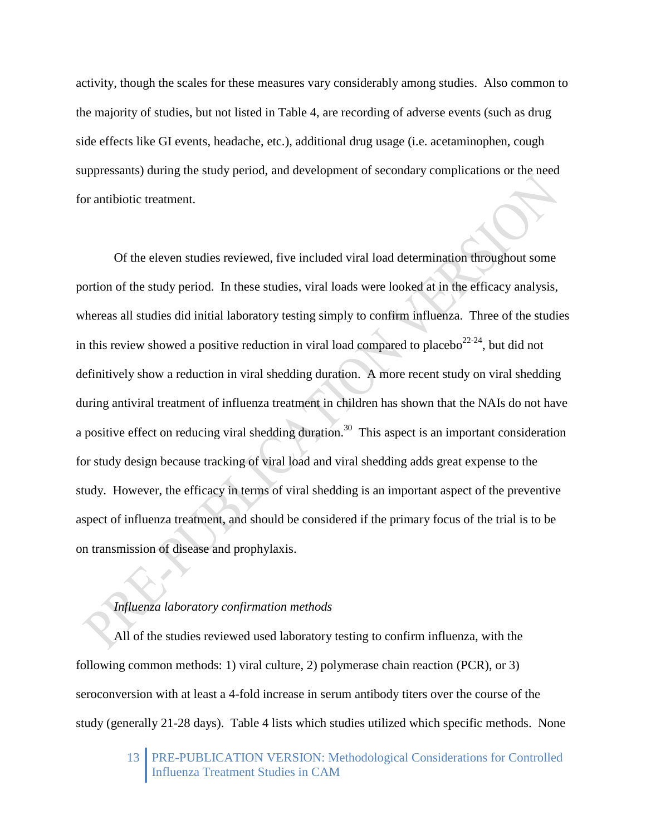activity, though the scales for these measures vary considerably among studies. Also common to the majority of studies, but not listed in Table 4, are recording of adverse events (such as drug side effects like GI events, headache, etc.), additional drug usage (i.e. acetaminophen, cough suppressants) during the study period, and development of secondary complications or the need for antibiotic treatment.

Of the eleven studies reviewed, five included viral load determination throughout some portion of the study period. In these studies, viral loads were looked at in the efficacy analysis, whereas all studies did initial laboratory testing simply to confirm influenza. Three of the studies in this review showed a positive reduction in viral load compared to placebo<sup>22-24</sup>, but did not definitively show a reduction in viral shedding duration. A more recent study on viral shedding during antiviral treatment of influenza treatment in children has shown that the NAIs do not have a positive effect on reducing viral shedding duration.<sup>30</sup> This aspect is an important consideration for study design because tracking of viral load and viral shedding adds great expense to the study. However, the efficacy in terms of viral shedding is an important aspect of the preventive aspect of influenza treatment, and should be considered if the primary focus of the trial is to be on transmission of disease and prophylaxis.

# *Influenza laboratory confirmation methods*

All of the studies reviewed used laboratory testing to confirm influenza, with the following common methods: 1) viral culture, 2) polymerase chain reaction (PCR), or 3) seroconversion with at least a 4-fold increase in serum antibody titers over the course of the study (generally 21-28 days). Table 4 lists which studies utilized which specific methods. None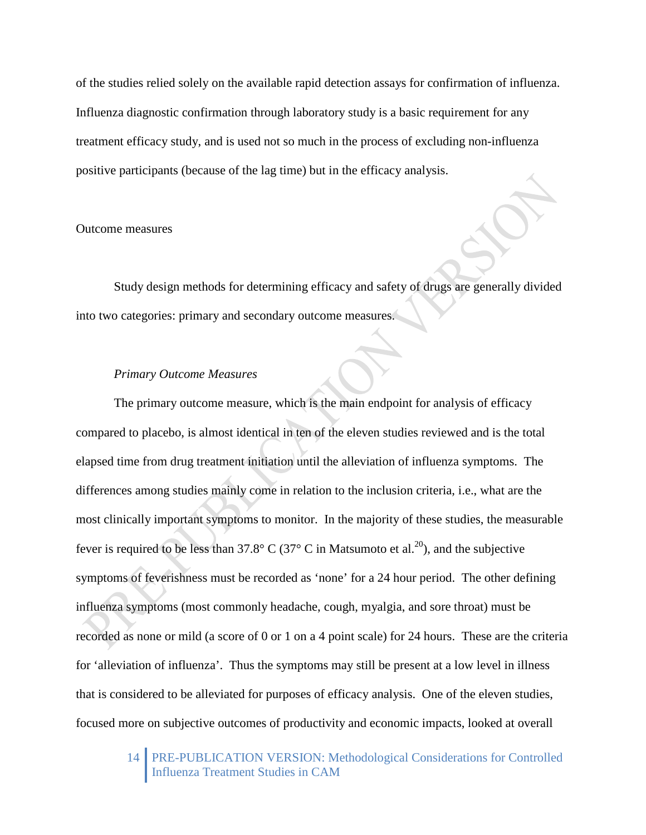of the studies relied solely on the available rapid detection assays for confirmation of influenza. Influenza diagnostic confirmation through laboratory study is a basic requirement for any treatment efficacy study, and is used not so much in the process of excluding non-influenza positive participants (because of the lag time) but in the efficacy analysis.

# Outcome measures

Study design methods for determining efficacy and safety of drugs are generally divided into two categories: primary and secondary outcome measures.

# *Primary Outcome Measures*

The primary outcome measure, which is the main endpoint for analysis of efficacy compared to placebo, is almost identical in ten of the eleven studies reviewed and is the total elapsed time from drug treatment initiation until the alleviation of influenza symptoms. The differences among studies mainly come in relation to the inclusion criteria, i.e., what are the most clinically important symptoms to monitor. In the majority of these studies, the measurable fever is required to be less than 37.8° C (37° C in Matsumoto et al.<sup>20</sup>), and the subjective symptoms of feverishness must be recorded as 'none' for a 24 hour period. The other defining influenza symptoms (most commonly headache, cough, myalgia, and sore throat) must be recorded as none or mild (a score of 0 or 1 on a 4 point scale) for 24 hours. These are the criteria for 'alleviation of influenza'. Thus the symptoms may still be present at a low level in illness that is considered to be alleviated for purposes of efficacy analysis. One of the eleven studies, focused more on subjective outcomes of productivity and economic impacts, looked at overall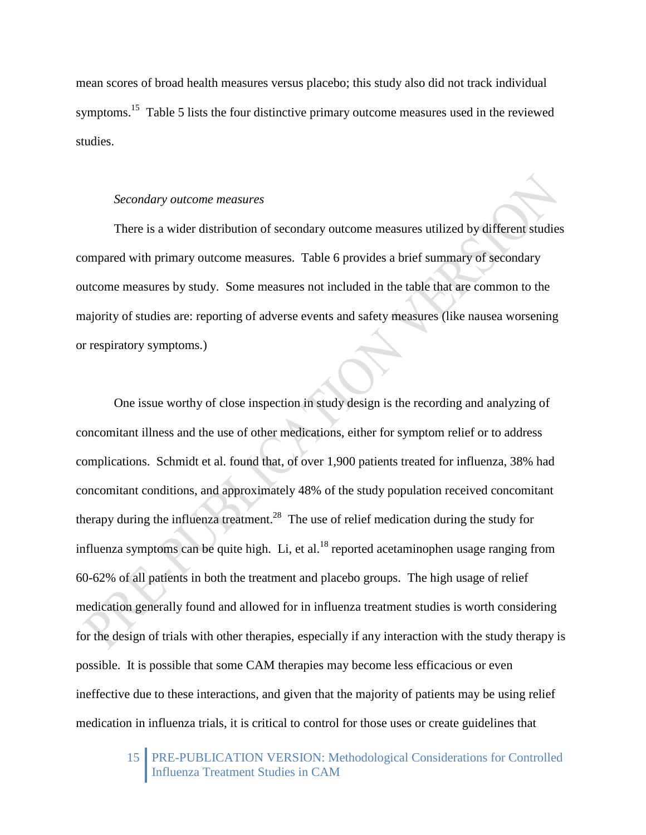mean scores of broad health measures versus placebo; this study also did not track individual symptoms.<sup>15</sup> Table 5 lists the four distinctive primary outcome measures used in the reviewed studies.

#### *Secondary outcome measures*

There is a wider distribution of secondary outcome measures utilized by different studies compared with primary outcome measures. Table 6 provides a brief summary of secondary outcome measures by study. Some measures not included in the table that are common to the majority of studies are: reporting of adverse events and safety measures (like nausea worsening or respiratory symptoms.)

One issue worthy of close inspection in study design is the recording and analyzing of concomitant illness and the use of other medications, either for symptom relief or to address complications. Schmidt et al. found that, of over 1,900 patients treated for influenza, 38% had concomitant conditions, and approximately 48% of the study population received concomitant therapy during the influenza treatment.<sup>28</sup> The use of relief medication during the study for influenza symptoms can be quite high. Li, et al.<sup>18</sup> reported acetaminophen usage ranging from 60-62% of all patients in both the treatment and placebo groups. The high usage of relief medication generally found and allowed for in influenza treatment studies is worth considering for the design of trials with other therapies, especially if any interaction with the study therapy is possible. It is possible that some CAM therapies may become less efficacious or even ineffective due to these interactions, and given that the majority of patients may be using relief medication in influenza trials, it is critical to control for those uses or create guidelines that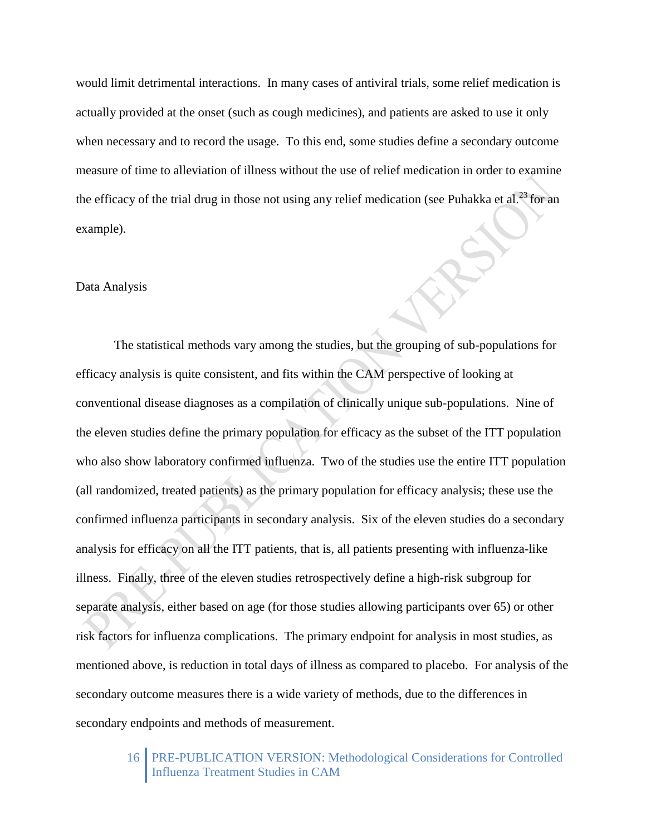would limit detrimental interactions. In many cases of antiviral trials, some relief medication is actually provided at the onset (such as cough medicines), and patients are asked to use it only when necessary and to record the usage. To this end, some studies define a secondary outcome measure of time to alleviation of illness without the use of relief medication in order to examine the efficacy of the trial drug in those not using any relief medication (see Puhakka et al.<sup>23</sup> for an example).

## Data Analysis

The statistical methods vary among the studies, but the grouping of sub-populations for efficacy analysis is quite consistent, and fits within the CAM perspective of looking at conventional disease diagnoses as a compilation of clinically unique sub-populations. Nine of the eleven studies define the primary population for efficacy as the subset of the ITT population who also show laboratory confirmed influenza. Two of the studies use the entire ITT population (all randomized, treated patients) as the primary population for efficacy analysis; these use the confirmed influenza participants in secondary analysis. Six of the eleven studies do a secondary analysis for efficacy on all the ITT patients, that is, all patients presenting with influenza-like illness. Finally, three of the eleven studies retrospectively define a high-risk subgroup for separate analysis, either based on age (for those studies allowing participants over 65) or other risk factors for influenza complications. The primary endpoint for analysis in most studies, as mentioned above, is reduction in total days of illness as compared to placebo. For analysis of the secondary outcome measures there is a wide variety of methods, due to the differences in secondary endpoints and methods of measurement.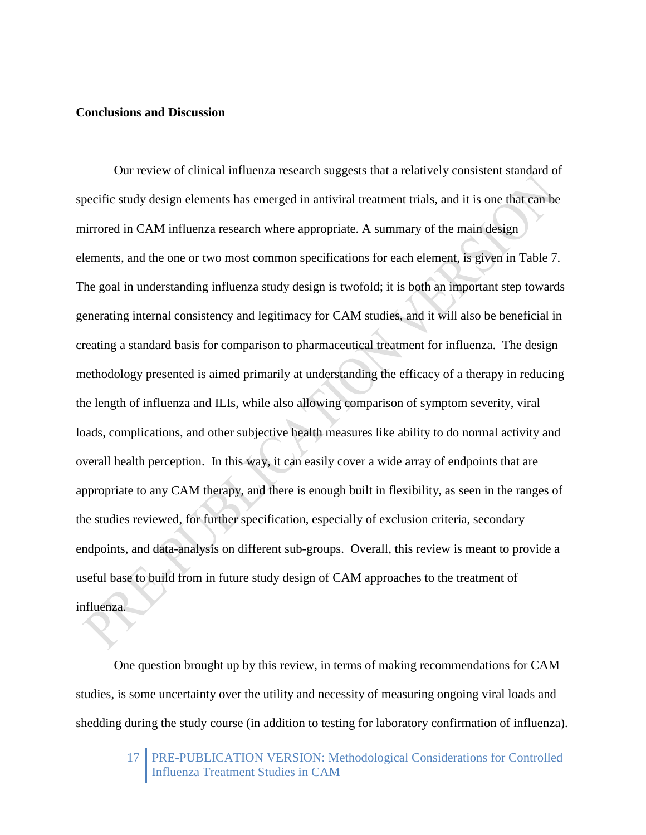# **Conclusions and Discussion**

Our review of clinical influenza research suggests that a relatively consistent standard of specific study design elements has emerged in antiviral treatment trials, and it is one that can be mirrored in CAM influenza research where appropriate. A summary of the main design elements, and the one or two most common specifications for each element, is given in Table 7. The goal in understanding influenza study design is twofold; it is both an important step towards generating internal consistency and legitimacy for CAM studies, and it will also be beneficial in creating a standard basis for comparison to pharmaceutical treatment for influenza. The design methodology presented is aimed primarily at understanding the efficacy of a therapy in reducing the length of influenza and ILIs, while also allowing comparison of symptom severity, viral loads, complications, and other subjective health measures like ability to do normal activity and overall health perception. In this way, it can easily cover a wide array of endpoints that are appropriate to any CAM therapy, and there is enough built in flexibility, as seen in the ranges of the studies reviewed, for further specification, especially of exclusion criteria, secondary endpoints, and data-analysis on different sub-groups. Overall, this review is meant to provide a useful base to build from in future study design of CAM approaches to the treatment of influenza.

One question brought up by this review, in terms of making recommendations for CAM studies, is some uncertainty over the utility and necessity of measuring ongoing viral loads and shedding during the study course (in addition to testing for laboratory confirmation of influenza).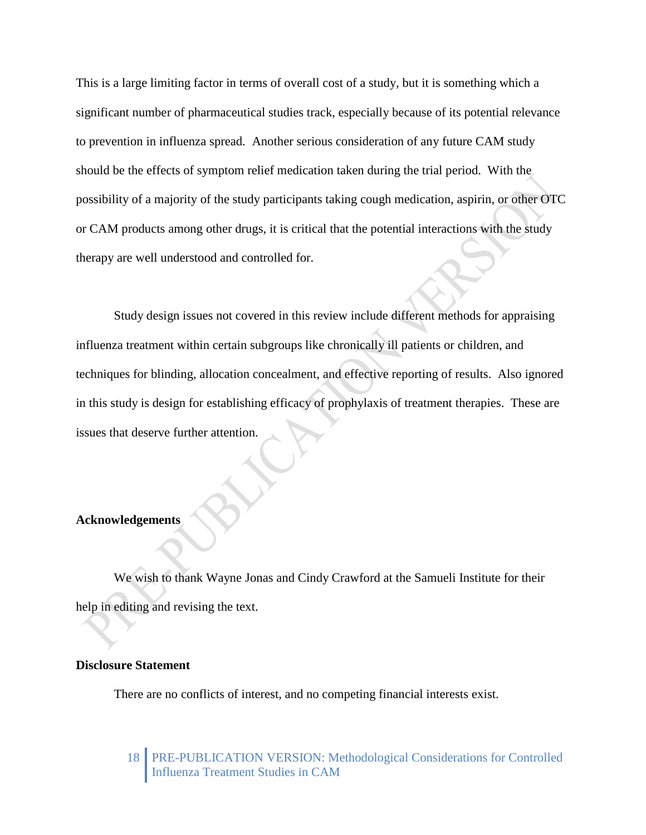This is a large limiting factor in terms of overall cost of a study, but it is something which a significant number of pharmaceutical studies track, especially because of its potential relevance to prevention in influenza spread. Another serious consideration of any future CAM study should be the effects of symptom relief medication taken during the trial period. With the possibility of a majority of the study participants taking cough medication, aspirin, or other OTC or CAM products among other drugs, it is critical that the potential interactions with the study therapy are well understood and controlled for.

Study design issues not covered in this review include different methods for appraising influenza treatment within certain subgroups like chronically ill patients or children, and techniques for blinding, allocation concealment, and effective reporting of results. Also ignored in this study is design for establishing efficacy of prophylaxis of treatment therapies. These are issues that deserve further attention.

# **Acknowledgements**

We wish to thank Wayne Jonas and Cindy Crawford at the Samueli Institute for their help in editing and revising the text.

## **Disclosure Statement**

There are no conflicts of interest, and no competing financial interests exist.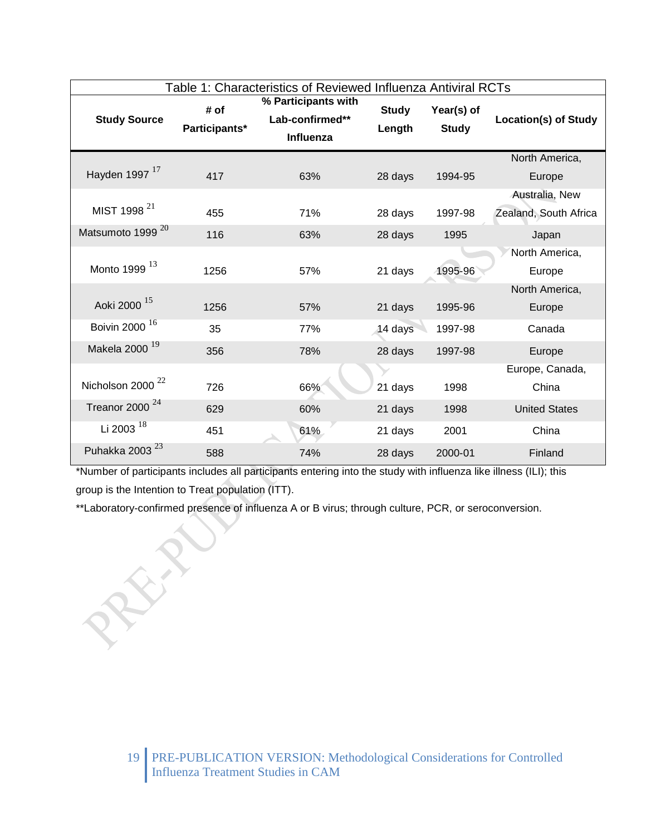| Table 1: Characteristics of Reviewed Influenza Antiviral RCTs |                       |                                                     |                        |                            |                             |
|---------------------------------------------------------------|-----------------------|-----------------------------------------------------|------------------------|----------------------------|-----------------------------|
| <b>Study Source</b>                                           | # of<br>Participants* | % Participants with<br>Lab-confirmed**<br>Influenza | <b>Study</b><br>Length | Year(s) of<br><b>Study</b> | <b>Location(s) of Study</b> |
|                                                               |                       |                                                     |                        |                            | North America,              |
| Hayden 1997 <sup>17</sup>                                     | 417                   | 63%                                                 | 28 days                | 1994-95                    | Europe                      |
|                                                               |                       |                                                     |                        |                            | Australia, New              |
| MIST 1998 <sup>21</sup>                                       | 455                   | 71%                                                 | 28 days                | 1997-98                    | Zealand, South Africa       |
| Matsumoto 1999 <sup>20</sup>                                  | 116                   | 63%                                                 | 28 days                | 1995                       | Japan                       |
|                                                               |                       |                                                     |                        |                            | North America,              |
| Monto 1999 13                                                 | 1256                  | 57%                                                 | 21 days                | 1995-96                    | Europe                      |
|                                                               |                       |                                                     |                        |                            | North America,              |
| Aoki 2000 <sup>15</sup>                                       | 1256                  | 57%                                                 | 21 days                | 1995-96                    | Europe                      |
| Boivin 2000 <sup>16</sup>                                     | 35                    | 77%                                                 | 14 days                | 1997-98                    | Canada                      |
| Makela 2000 <sup>19</sup>                                     | 356                   | 78%                                                 | 28 days                | 1997-98                    | Europe                      |
|                                                               |                       |                                                     |                        |                            | Europe, Canada,             |
| Nicholson 2000 <sup>22</sup>                                  | 726                   | 66%                                                 | 21 days                | 1998                       | China                       |
| Treanor 2000 $^{24}$                                          | 629                   | 60%                                                 | 21 days                | 1998                       | <b>United States</b>        |
| Li 2003 $^{18}$                                               | 451                   | 61%                                                 | 21 days                | 2001                       | China                       |
| Puhakka 2003 <sup>23</sup>                                    | 588                   | 74%                                                 | 28 days                | 2000-01                    | Finland                     |

\*Number of participants includes all participants entering into the study with influenza like illness (ILI); this group is the Intention to Treat population (ITT).

\*\*Laboratory-confirmed presence of influenza A or B virus; through culture, PCR, or seroconversion.

REA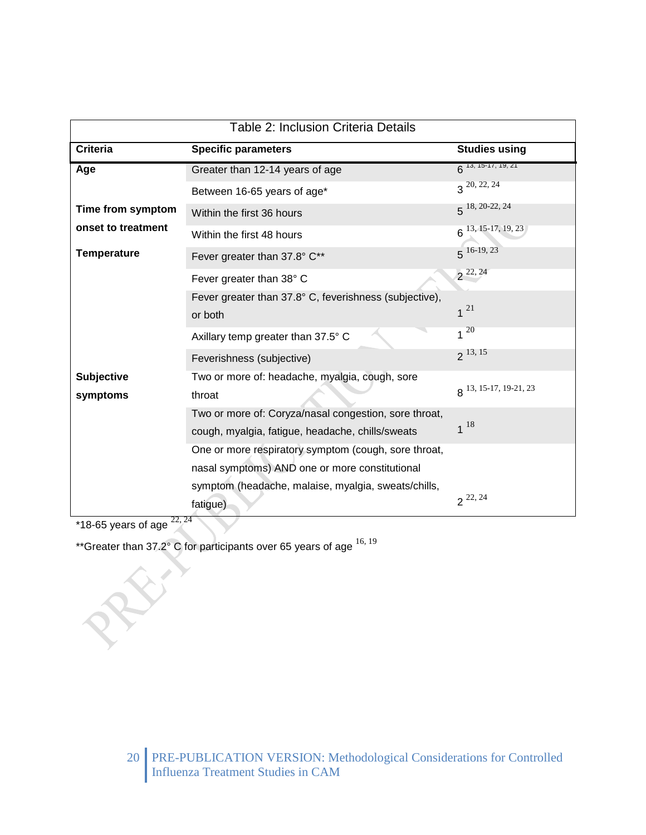| <b>Table 2: Inclusion Criteria Details</b> |                                                                                                           |                               |  |  |
|--------------------------------------------|-----------------------------------------------------------------------------------------------------------|-------------------------------|--|--|
| <b>Criteria</b>                            | <b>Specific parameters</b>                                                                                | <b>Studies using</b>          |  |  |
| Age                                        | Greater than 12-14 years of age                                                                           | $6^{13, 15 \cdot 17, 19, 21}$ |  |  |
|                                            | Between 16-65 years of age*                                                                               | $3^{20, 22, 24}$              |  |  |
| Time from symptom                          | Within the first 36 hours                                                                                 | $5^{18, 20-22, 24}$           |  |  |
| onset to treatment                         | Within the first 48 hours                                                                                 | $6^{13, 15-17, 19, 23}$       |  |  |
| <b>Temperature</b>                         | Fever greater than 37.8° C**                                                                              | $5^{16-19,23}$                |  |  |
|                                            | Fever greater than 38° C                                                                                  | $2^{22,24}$                   |  |  |
|                                            | Fever greater than 37.8° C, feverishness (subjective),<br>or both                                         | $1^{21}$                      |  |  |
|                                            | Axillary temp greater than 37.5° C                                                                        | $1^{20}$                      |  |  |
|                                            | Feverishness (subjective)                                                                                 | $2^{13,15}$                   |  |  |
| <b>Subjective</b><br>symptoms              | Two or more of: headache, myalgia, cough, sore<br>throat                                                  | 8 13, 15-17, 19-21, 23        |  |  |
|                                            | Two or more of: Coryza/nasal congestion, sore throat,<br>cough, myalgia, fatigue, headache, chills/sweats | $1^{18}$                      |  |  |
|                                            | One or more respiratory symptom (cough, sore throat,                                                      |                               |  |  |
|                                            | nasal symptoms) AND one or more constitutional                                                            |                               |  |  |
|                                            | symptom (headache, malaise, myalgia, sweats/chills,<br>fatigue)                                           | $2^{22,24}$                   |  |  |

\*18-65 years of age  $^{22, 24}$ 

ES.

\*\*Greater than  $37.2^{\circ}$  C for participants over 65 years of age  $^{16, 19}$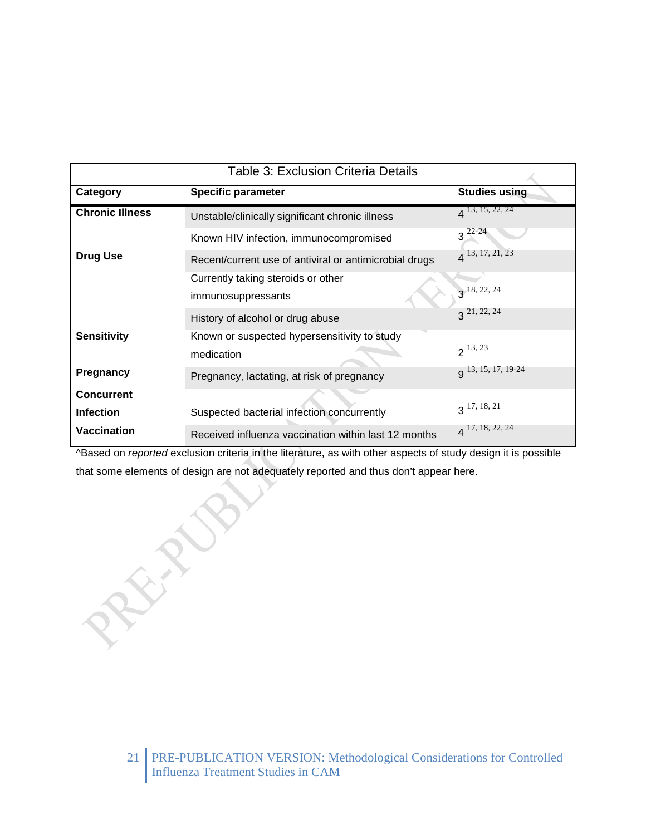| <b>Table 3: Exclusion Criteria Details</b> |                                                            |                      |  |
|--------------------------------------------|------------------------------------------------------------|----------------------|--|
| Category                                   | <b>Specific parameter</b>                                  | <b>Studies using</b> |  |
| <b>Chronic Illness</b>                     | Unstable/clinically significant chronic illness            | $4^{13, 15, 22, 24}$ |  |
|                                            | Known HIV infection, immunocompromised                     | $3^{22-24}$          |  |
| <b>Drug Use</b>                            | Recent/current use of antiviral or antimicrobial drugs     | $4^{13, 17, 21, 23}$ |  |
|                                            | Currently taking steroids or other<br>immunosuppressants   | $3^{18, 22, 24}$     |  |
|                                            | History of alcohol or drug abuse                           | 21, 22, 24           |  |
| <b>Sensitivity</b>                         | Known or suspected hypersensitivity to study<br>medication | $2^{13,23}$          |  |
| <b>Pregnancy</b>                           | Pregnancy, lactating, at risk of pregnancy                 | q 13, 15, 17, 19-24  |  |
| <b>Concurrent</b><br><b>Infection</b>      | Suspected bacterial infection concurrently                 | $3^{17, 18, 21}$     |  |
| <b>Vaccination</b>                         | Received influenza vaccination within last 12 months       | $4^{17, 18, 22, 24}$ |  |

^Based on *reported* exclusion criteria in the literature, as with other aspects of study design it is possible that some elements of design are not adequately reported and thus don't appear here.

REFERE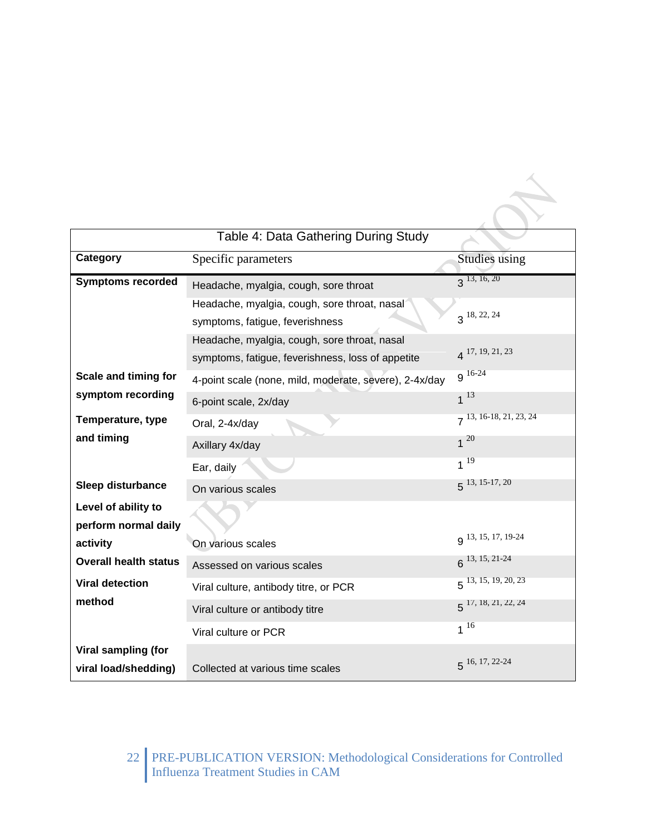| Table 4: Data Gathering During Study        |                                                                                                   |                          |  |  |
|---------------------------------------------|---------------------------------------------------------------------------------------------------|--------------------------|--|--|
| Category                                    | Specific parameters                                                                               | <b>Studies</b> using     |  |  |
| <b>Symptoms recorded</b>                    | Headache, myalgia, cough, sore throat                                                             | 3, 13, 16, 20            |  |  |
|                                             | Headache, myalgia, cough, sore throat, nasal<br>symptoms, fatigue, feverishness                   | $3^{18, 22, 24}$         |  |  |
|                                             | Headache, myalgia, cough, sore throat, nasal<br>symptoms, fatigue, feverishness, loss of appetite | $4^{17, 19, 21, 23}$     |  |  |
| Scale and timing for                        | 4-point scale (none, mild, moderate, severe), 2-4x/day                                            | $9^{16-24}$              |  |  |
| symptom recording                           | 6-point scale, 2x/day                                                                             | $1^{13}$                 |  |  |
| Temperature, type                           | Oral, 2-4x/day                                                                                    | 7 13, 16-18, 21, 23, 24  |  |  |
| and timing                                  | Axillary 4x/day                                                                                   | $1^{20}$                 |  |  |
|                                             | Ear, daily                                                                                        | $1^{19}$                 |  |  |
| <b>Sleep disturbance</b>                    | On various scales                                                                                 | $5^{13, 15-17, 20}$      |  |  |
| Level of ability to<br>perform normal daily |                                                                                                   |                          |  |  |
| activity                                    | On various scales                                                                                 | q 13, 15, 17, 19-24      |  |  |
| <b>Overall health status</b>                | Assessed on various scales                                                                        | $6^{13, 15, 21-24}$      |  |  |
| <b>Viral detection</b>                      | Viral culture, antibody titre, or PCR                                                             | $5^{13, 15, 19, 20, 23}$ |  |  |
| method                                      | Viral culture or antibody titre                                                                   | $5^{17, 18, 21, 22, 24}$ |  |  |
|                                             | Viral culture or PCR                                                                              | $1^{16}$                 |  |  |
| Viral sampling (for<br>viral load/shedding) | Collected at various time scales                                                                  | $5^{16, 17, 22-24}$      |  |  |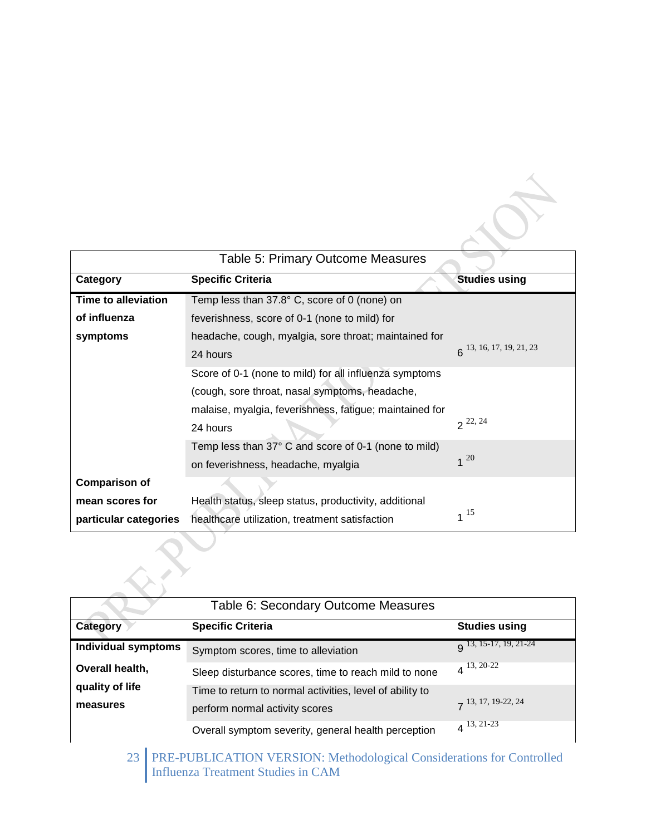|                                                        | Table 5: Primary Outcome Measures                                                                         |                              |
|--------------------------------------------------------|-----------------------------------------------------------------------------------------------------------|------------------------------|
| Category                                               | <b>Specific Criteria</b>                                                                                  | <b>Studies using</b>         |
| <b>Time to alleviation</b>                             | Temp less than $37.8^{\circ}$ C, score of 0 (none) on                                                     |                              |
| of influenza                                           | feverishness, score of 0-1 (none to mild) for                                                             |                              |
| symptoms                                               | headache, cough, myalgia, sore throat; maintained for                                                     |                              |
|                                                        | 24 hours                                                                                                  | $6^{13, 16, 17, 19, 21, 23}$ |
| Score of 0-1 (none to mild) for all influenza symptoms |                                                                                                           |                              |
|                                                        | (cough, sore throat, nasal symptoms, headache,<br>malaise, myalgia, feverishness, fatigue; maintained for |                              |
|                                                        |                                                                                                           |                              |
|                                                        | 24 hours                                                                                                  | $2^{22,24}$                  |
|                                                        | Temp less than 37° C and score of 0-1 (none to mild)                                                      |                              |
|                                                        | on feverishness, headache, myalgia                                                                        | $1^{20}$                     |
| <b>Comparison of</b>                                   |                                                                                                           |                              |
| mean scores for                                        | Health status, sleep status, productivity, additional                                                     |                              |
| particular categories                                  | healthcare utilization, treatment satisfaction                                                            | $1^{15}$                     |

|                            | Table 6: Secondary Outcome Measures                      |                               |
|----------------------------|----------------------------------------------------------|-------------------------------|
| Category                   | <b>Specific Criteria</b>                                 | <b>Studies using</b>          |
| <b>Individual symptoms</b> | Symptom scores, time to alleviation                      | $\alpha$ 13, 15-17, 19, 21-24 |
| Overall health,            | Sleep disturbance scores, time to reach mild to none     | $4^{13,20-22}$                |
| quality of life            | Time to return to normal activities, level of ability to |                               |
| measures                   | perform normal activity scores                           | $7^{13, 17, 19-22, 24}$       |
|                            | Overall symptom severity, general health perception      | $4^{13, 21-23}$               |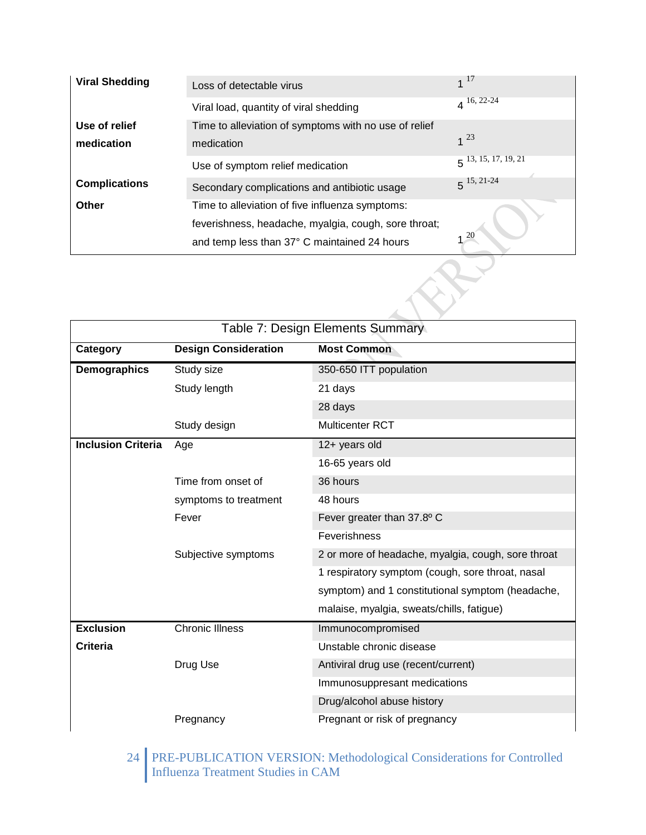| <b>Viral Shedding</b> | Loss of detectable virus                              | $1^{17}$                 |
|-----------------------|-------------------------------------------------------|--------------------------|
|                       | Viral load, quantity of viral shedding                | $4^{16, 22-24}$          |
| Use of relief         | Time to alleviation of symptoms with no use of relief |                          |
| medication            | medication                                            | $1^{23}$                 |
|                       | Use of symptom relief medication                      | $5^{13, 15, 17, 19, 21}$ |
| <b>Complications</b>  | Secondary complications and antibiotic usage          | $5^{15, 21-24}$          |
| Other                 | Time to alleviation of five influenza symptoms:       |                          |
|                       | feverishness, headache, myalgia, cough, sore throat;  |                          |
|                       | and temp less than 37° C maintained 24 hours          | <b>20</b>                |

| Table 7: Design Elements Summary |                             |                                                    |  |
|----------------------------------|-----------------------------|----------------------------------------------------|--|
| Category                         | <b>Design Consideration</b> | <b>Most Common</b>                                 |  |
| Demographics                     | Study size                  | 350-650 ITT population                             |  |
|                                  | Study length                | 21 days                                            |  |
|                                  |                             | 28 days                                            |  |
|                                  | Study design                | Multicenter RCT                                    |  |
| <b>Inclusion Criteria</b>        | Age                         | 12+ years old                                      |  |
|                                  |                             | 16-65 years old                                    |  |
|                                  | Time from onset of          | 36 hours                                           |  |
|                                  | symptoms to treatment       | 48 hours                                           |  |
|                                  | Fever                       | Fever greater than 37.8° C                         |  |
|                                  |                             | Feverishness                                       |  |
|                                  | Subjective symptoms         | 2 or more of headache, myalgia, cough, sore throat |  |
|                                  |                             | 1 respiratory symptom (cough, sore throat, nasal   |  |
|                                  |                             | symptom) and 1 constitutional symptom (headache,   |  |
|                                  |                             | malaise, myalgia, sweats/chills, fatigue)          |  |
| <b>Exclusion</b>                 | <b>Chronic Illness</b>      | Immunocompromised                                  |  |
| Criteria                         |                             | Unstable chronic disease                           |  |
|                                  | Drug Use                    | Antiviral drug use (recent/current)                |  |
|                                  |                             | Immunosuppresant medications                       |  |
|                                  |                             | Drug/alcohol abuse history                         |  |
|                                  | Pregnancy                   | Pregnant or risk of pregnancy                      |  |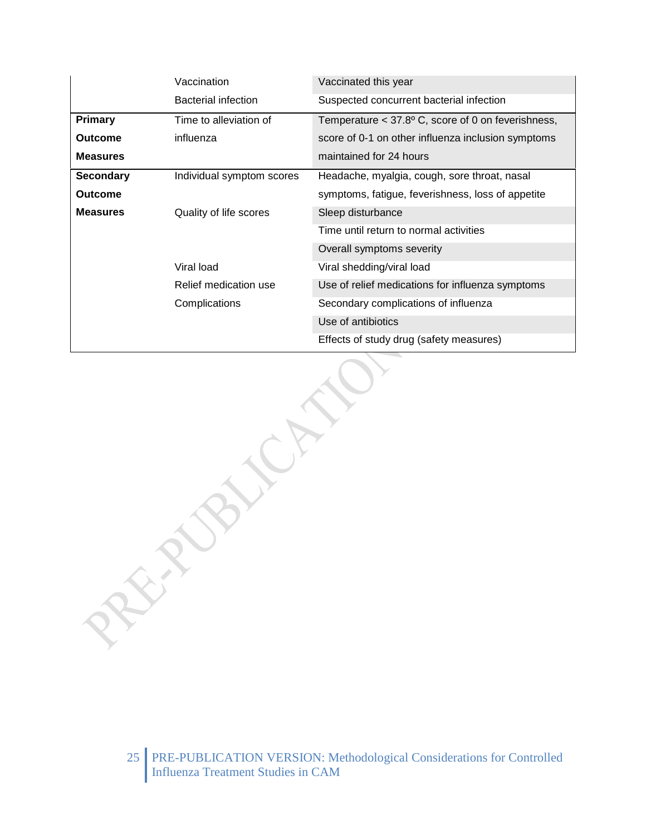|                  | Vaccination               | Vaccinated this year                                          |
|------------------|---------------------------|---------------------------------------------------------------|
|                  | Bacterial infection       | Suspected concurrent bacterial infection                      |
| <b>Primary</b>   | Time to alleviation of    | Temperature $<$ 37.8 $\degree$ C, score of 0 on feverishness, |
| <b>Outcome</b>   | influenza                 | score of 0-1 on other influenza inclusion symptoms            |
| <b>Measures</b>  |                           | maintained for 24 hours                                       |
| <b>Secondary</b> | Individual symptom scores | Headache, myalgia, cough, sore throat, nasal                  |
| <b>Outcome</b>   |                           | symptoms, fatigue, feverishness, loss of appetite             |
| <b>Measures</b>  | Quality of life scores    | Sleep disturbance                                             |
|                  |                           | Time until return to normal activities                        |
|                  |                           | Overall symptoms severity                                     |
|                  | Viral load                | Viral shedding/viral load                                     |
|                  | Relief medication use     | Use of relief medications for influenza symptoms              |
|                  | Complications             | Secondary complications of influenza                          |
|                  |                           | Use of antibiotics                                            |
|                  |                           | Effects of study drug (safety measures)                       |

**PROFILATE**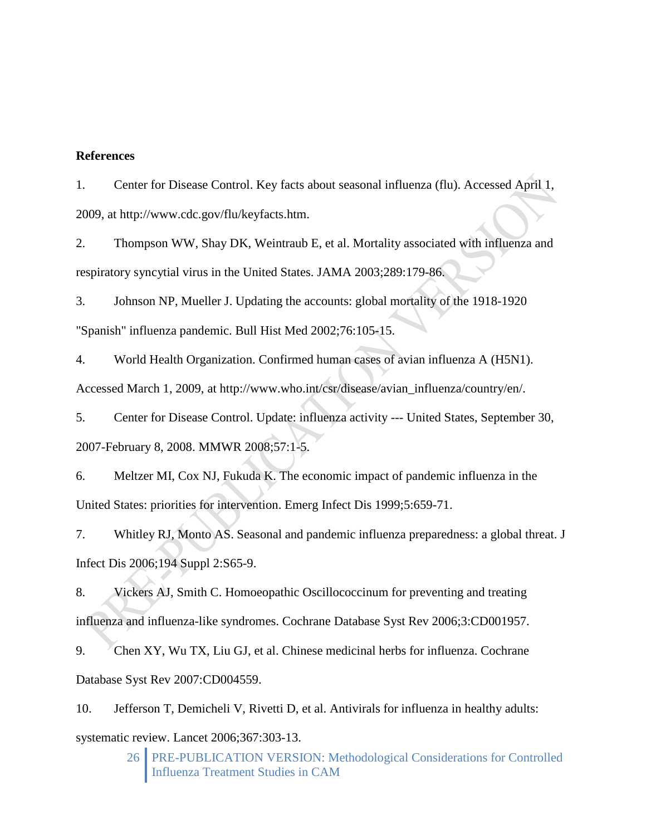## **References**

1. Center for Disease Control. Key facts about seasonal influenza (flu). Accessed April 1, 2009, at http://www.cdc.gov/flu/keyfacts.htm.

2. Thompson WW, Shay DK, Weintraub E, et al. Mortality associated with influenza and respiratory syncytial virus in the United States. JAMA 2003;289:179-86.

3. Johnson NP, Mueller J. Updating the accounts: global mortality of the 1918-1920 "Spanish" influenza pandemic. Bull Hist Med 2002;76:105-15.

4. World Health Organization. Confirmed human cases of avian influenza A (H5N1). Accessed March 1, 2009, at http://www.who.int/csr/disease/avian\_influenza/country/en/.

5. Center for Disease Control. Update: influenza activity --- United States, September 30, 2007-February 8, 2008. MMWR 2008;57:1-5.

6. Meltzer MI, Cox NJ, Fukuda K. The economic impact of pandemic influenza in the United States: priorities for intervention. Emerg Infect Dis 1999;5:659-71.

7. Whitley RJ, Monto AS. Seasonal and pandemic influenza preparedness: a global threat. J Infect Dis 2006;194 Suppl 2:S65-9.

8. Vickers AJ, Smith C. Homoeopathic Oscillococcinum for preventing and treating influenza and influenza-like syndromes. Cochrane Database Syst Rev 2006;3:CD001957.

9. Chen XY, Wu TX, Liu GJ, et al. Chinese medicinal herbs for influenza. Cochrane Database Syst Rev 2007:CD004559.

10. Jefferson T, Demicheli V, Rivetti D, et al. Antivirals for influenza in healthy adults: systematic review. Lancet 2006;367:303-13.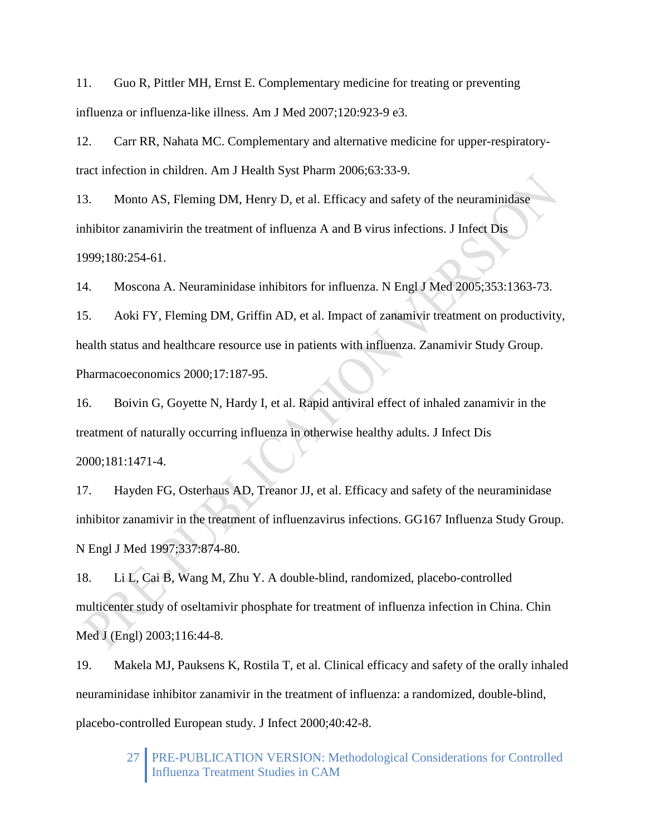11. Guo R, Pittler MH, Ernst E. Complementary medicine for treating or preventing influenza or influenza-like illness. Am J Med 2007;120:923-9 e3.

12. Carr RR, Nahata MC. Complementary and alternative medicine for upper-respiratorytract infection in children. Am J Health Syst Pharm 2006;63:33-9.

13. Monto AS, Fleming DM, Henry D, et al. Efficacy and safety of the neuraminidase inhibitor zanamivirin the treatment of influenza A and B virus infections. J Infect Dis 1999;180:254-61.

14. Moscona A. Neuraminidase inhibitors for influenza. N Engl J Med 2005;353:1363-73.

15. Aoki FY, Fleming DM, Griffin AD, et al. Impact of zanamivir treatment on productivity, health status and healthcare resource use in patients with influenza. Zanamivir Study Group. Pharmacoeconomics 2000;17:187-95.

16. Boivin G, Goyette N, Hardy I, et al. Rapid antiviral effect of inhaled zanamivir in the treatment of naturally occurring influenza in otherwise healthy adults. J Infect Dis 2000;181:1471-4.

17. Hayden FG, Osterhaus AD, Treanor JJ, et al. Efficacy and safety of the neuraminidase inhibitor zanamivir in the treatment of influenzavirus infections. GG167 Influenza Study Group. N Engl J Med 1997;337:874-80.

18. Li L, Cai B, Wang M, Zhu Y. A double-blind, randomized, placebo-controlled multicenter study of oseltamivir phosphate for treatment of influenza infection in China. Chin Med J (Engl) 2003;116:44-8.

19. Makela MJ, Pauksens K, Rostila T, et al. Clinical efficacy and safety of the orally inhaled neuraminidase inhibitor zanamivir in the treatment of influenza: a randomized, double-blind, placebo-controlled European study. J Infect 2000;40:42-8.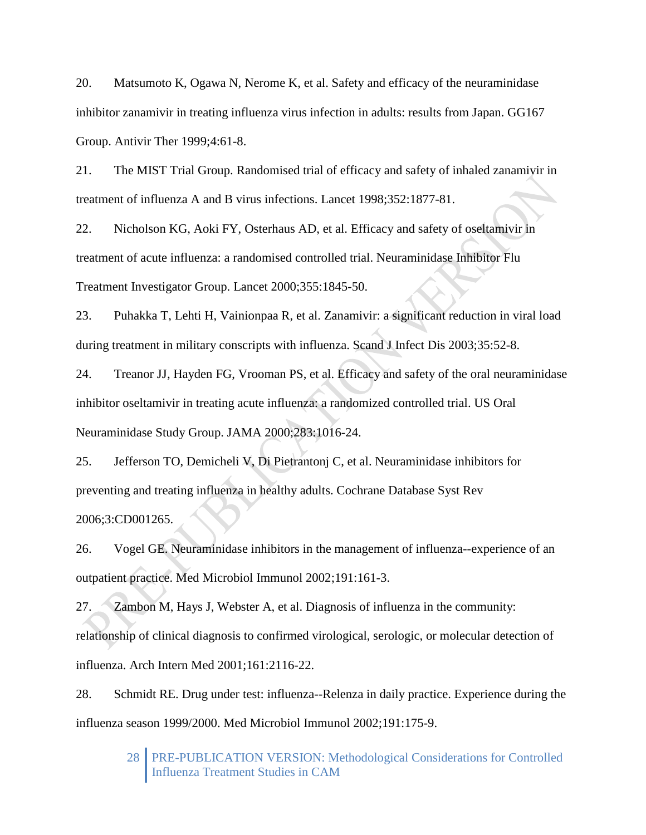20. Matsumoto K, Ogawa N, Nerome K, et al. Safety and efficacy of the neuraminidase inhibitor zanamivir in treating influenza virus infection in adults: results from Japan. GG167 Group. Antivir Ther 1999;4:61-8.

21. The MIST Trial Group. Randomised trial of efficacy and safety of inhaled zanamivir in treatment of influenza A and B virus infections. Lancet 1998;352:1877-81.

22. Nicholson KG, Aoki FY, Osterhaus AD, et al. Efficacy and safety of oseltamivir in treatment of acute influenza: a randomised controlled trial. Neuraminidase Inhibitor Flu Treatment Investigator Group. Lancet 2000;355:1845-50.

23. Puhakka T, Lehti H, Vainionpaa R, et al. Zanamivir: a significant reduction in viral load during treatment in military conscripts with influenza. Scand J Infect Dis 2003;35:52-8.

24. Treanor JJ, Hayden FG, Vrooman PS, et al. Efficacy and safety of the oral neuraminidase inhibitor oseltamivir in treating acute influenza: a randomized controlled trial. US Oral Neuraminidase Study Group. JAMA 2000;283:1016-24.

25. Jefferson TO, Demicheli V, Di Pietrantonj C, et al. Neuraminidase inhibitors for preventing and treating influenza in healthy adults. Cochrane Database Syst Rev 2006;3:CD001265.

26. Vogel GE. Neuraminidase inhibitors in the management of influenza--experience of an outpatient practice. Med Microbiol Immunol 2002;191:161-3.

27. Zambon M, Hays J, Webster A, et al. Diagnosis of influenza in the community: relationship of clinical diagnosis to confirmed virological, serologic, or molecular detection of influenza. Arch Intern Med 2001;161:2116-22.

28. Schmidt RE. Drug under test: influenza--Relenza in daily practice. Experience during the influenza season 1999/2000. Med Microbiol Immunol 2002;191:175-9.